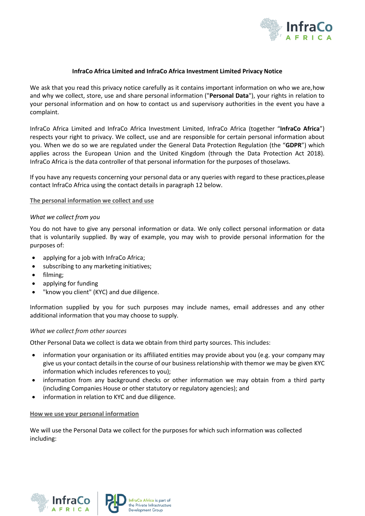

## **InfraCo Africa Limited and InfraCo Africa Investment Limited Privacy Notice**

We ask that you read this privacy notice carefully as it contains important information on who we are,how and why we collect, store, use and share personal information ("**Personal Data**"), your rights in relation to your personal information and on how to contact us and supervisory authorities in the event you have a complaint.

InfraCo Africa Limited and InfraCo Africa Investment Limited, InfraCo Africa (together "**InfraCo Africa**") respects your right to privacy. We collect, use and are responsible for certain personal information about you. When we do so we are regulated under the General Data Protection Regulation (the "**GDPR**") which applies across the European Union and the United Kingdom (through the Data Protection Act 2018). InfraCo Africa is the data controller of that personal information for the purposes of thoselaws.

If you have any requests concerning your personal data or any queries with regard to these practices,please contact InfraCo Africa using the contact details in paragraph 12 below.

## **The personal information we collect and use**

### *What we collect from you*

You do not have to give any personal information or data. We only collect personal information or data that is voluntarily supplied. By way of example, you may wish to provide personal information for the purposes of:

- applying for a job with InfraCo Africa;
- subscribing to any marketing initiatives;
- filming;
- applying for funding
- "know you client" (KYC) and due diligence.

Information supplied by you for such purposes may include names, email addresses and any other additional information that you may choose to supply.

### *What we collect from other sources*

Other Personal Data we collect is data we obtain from third party sources. This includes:

- information your organisation or its affiliated entities may provide about you (e.g. your company may give us your contact details in the course of our business relationship with themor we may be given KYC information which includes references to you);
- information from any background checks or other information we may obtain from a third party (including Companies House or other statutory or regulatory agencies); and
- information in relation to KYC and due diligence.

### **How we use your personal information**

We will use the Personal Data we collect for the purposes for which such information was collected including:



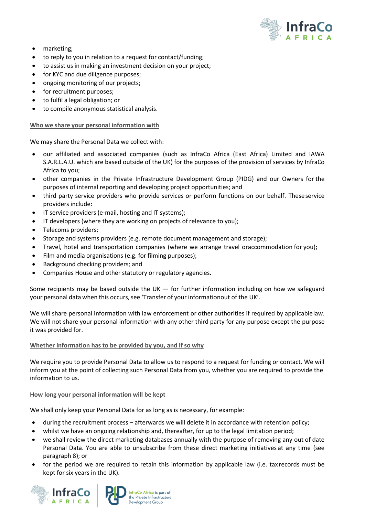

- marketing;
- to reply to you in relation to a request for contact/funding;
- to assist us in making an investment decision on your project;
- for KYC and due diligence purposes;
- ongoing monitoring of our projects;
- for recruitment purposes;
- to fulfil a legal obligation; or
- to compile anonymous statistical analysis.

# **Who we share your personal information with**

We may share the Personal Data we collect with:

- our affiliated and associated companies (such as InfraCo Africa (East Africa) Limited and IAWA S.A.R.L.A.U. which are based outside of the UK) for the purposes of the provision of services by InfraCo Africa to you;
- other companies in the Private Infrastructure Development Group (PIDG) and our Owners for the purposes of internal reporting and developing project opportunities; and
- third party service providers who provide services or perform functions on our behalf. Theseservice providers include:
- IT service providers (e-mail, hosting and IT systems);
- IT developers (where they are working on projects of relevance to you);
- Telecoms providers;
- Storage and systems providers (e.g. remote document management and storage);
- Travel, hotel and transportation companies (where we arrange travel oraccommodation for you);
- Film and media organisations (e.g. for filming purposes);
- Background checking providers; and
- Companies House and other statutory or regulatory agencies.

Some recipients may be based outside the UK — for further information including on how we safeguard your personal data when this occurs, see 'Transfer of your informationout of the UK'.

We will share personal information with law enforcement or other authorities if required by applicablelaw. We will not share your personal information with any other third party for any purpose except the purpose it was provided for.

# **Whether information has to be provided by you, and if so why**

We require you to provide Personal Data to allow us to respond to a request for funding or contact. We will inform you at the point of collecting such Personal Data from you, whether you are required to provide the information to us.

# **How long your personal information will be kept**

We shall only keep your Personal Data for as long as is necessary, for example:

- during the recruitment process afterwards we will delete it in accordance with retention policy;
- whilst we have an ongoing relationship and, thereafter, for up to the legal limitation period;
- we shall review the direct marketing databases annually with the purpose of removing any out of date Personal Data. You are able to unsubscribe from these direct marketing initiatives at any time (see paragraph 8); or
- for the period we are required to retain this information by applicable law (i.e. tax records must be kept for six years in the UK).



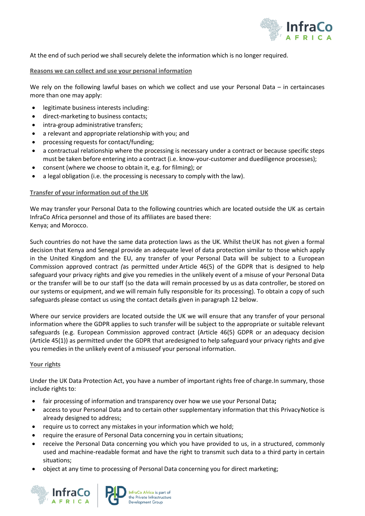

At the end of such period we shall securely delete the information which is no longer required.

# **Reasons we can collect and use your personal information**

We rely on the following lawful bases on which we collect and use your Personal Data – in certaincases more than one may apply:

- legitimate business interests including:
- direct-marketing to business contacts;
- intra-group administrative transfers;
- a relevant and appropriate relationship with you; and
- processing requests for contact/funding;
- a contractual relationship where the processing is necessary under a contract or because specific steps must be taken before entering into a contract (i.e. know-your-customer and duediligence processes);
- consent (where we choose to obtain it, e.g. for filming); or
- a legal obligation (i.e. the processing is necessary to comply with the law).

# **Transfer of your information out of the UK**

We may transfer your Personal Data to the following countries which are located outside the UK as certain InfraCo Africa personnel and those of its affiliates are based there: Kenya; and Morocco.

Such countries do not have the same data protection laws as the UK. Whilst theUK has not given a formal decision that Kenya and Senegal provide an adequate level of data protection similar to those which apply in the United Kingdom and the EU, any transfer of your Personal Data will be subject to a European Commission approved contract *(*as permitted under Article 46(5) of the GDPR that is designed to help safeguard your privacy rights and give you remedies in the unlikely event of a misuse of your Personal Data or the transfer will be to our staff (so the data will remain processed by us as data controller, be stored on our systems or equipment, and we will remain fully responsible for its processing). To obtain a copy of such safeguards please contact us using the contact details given in paragraph 12 below.

Where our service providers are located outside the UK we will ensure that any transfer of your personal information where the GDPR applies to such transfer will be subject to the appropriate or suitable relevant safeguards (e.g. European Commission approved contract (Article 46(5) GDPR or an adequacy decision (Article 45(1)) as permitted under the GDPR that aredesigned to help safeguard your privacy rights and give you remedies in the unlikely event of a misuseof your personal information.

## **Your rights**

Under the UK Data Protection Act, you have a number of important rights free of charge.In summary, those include rights to:

- fair processing of information and transparency over how we use your Personal Data**;**
- access to your Personal Data and to certain other supplementary information that this PrivacyNotice is already designed to address;
- require us to correct any mistakes in your information which we hold;
- require the erasure of Personal Data concerning you in certain situations;
- receive the Personal Data concerning you which you have provided to us, in a structured, commonly used and machine-readable format and have the right to transmit such data to a third party in certain situations;
- object at any time to processing of Personal Data concerning you for direct marketing;